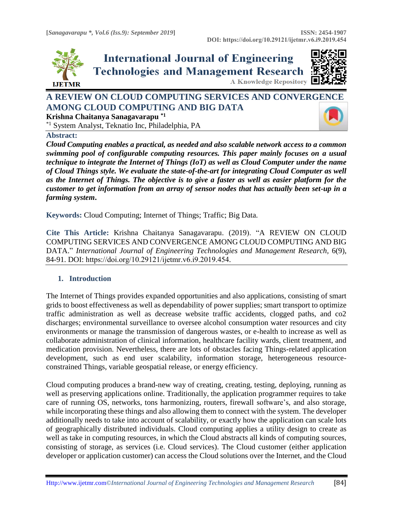





**A Knowledge Repository** 

# **A REVIEW ON CLOUD COMPUTING SERVICES AND CONVER[GENCE](https://crossmark.crossref.org/dialog/?doi=10.29121/ijetmr.v6.i9.2019.454&domain=pdf&date_stamp=2019-09-30)  AMONG CLOUD COMPUTING AND BIG DATA**

**Krishna Chaitanya Sanagavarapu \*1**

\*1 System Analyst, Teknatio Inc, Philadelphia, PA

**Abstract:** 

*Cloud Computing enables a practical, as needed and also scalable network access to a common swimming pool of configurable computing resources. This paper mainly focuses on a usual technique to integrate the Internet of Things (IoT) as well as Cloud Computer under the name of Cloud Things style. We evaluate the state-of-the-art for integrating Cloud Computer as well as the Internet of Things. The objective is to give a faster as well as easier platform for the customer to get information from an array of sensor nodes that has actually been set-up in a farming system***.**

**Keywords:** Cloud Computing; Internet of Things; Traffic; Big Data*.* 

**Cite This Article:** Krishna Chaitanya Sanagavarapu. (2019). "A REVIEW ON CLOUD COMPUTING SERVICES AND CONVERGENCE AMONG CLOUD COMPUTING AND BIG DATA." *International Journal of Engineering Technologies and Management Research,* 6(9), 84-91. DOI: https://doi.org/10.29121/ijetmr.v6.i9.2019.454.

#### **1. Introduction**

The Internet of Things provides expanded opportunities and also applications, consisting of smart grids to boost effectiveness as well as dependability of power supplies; smart transport to optimize traffic administration as well as decrease website traffic accidents, clogged paths, and co2 discharges; environmental surveillance to oversee alcohol consumption water resources and city environments or manage the transmission of dangerous wastes, or e-health to increase as well as collaborate administration of clinical information, healthcare facility wards, client treatment, and medication provision. Nevertheless, there are lots of obstacles facing Things-related application development, such as end user scalability, information storage, heterogeneous resourceconstrained Things, variable geospatial release, or energy efficiency.

Cloud computing produces a brand-new way of creating, creating, testing, deploying, running as well as preserving applications online. Traditionally, the application programmer requires to take care of running OS, networks, tons harmonizing, routers, firewall software's, and also storage, while incorporating these things and also allowing them to connect with the system. The developer additionally needs to take into account of scalability, or exactly how the application can scale lots of geographically distributed individuals. Cloud computing applies a utility design to create as well as take in computing resources, in which the Cloud abstracts all kinds of computing sources, consisting of storage, as services (i.e. Cloud services). The Cloud customer (either application developer or application customer) can access the Cloud solutions over the Internet, and the Cloud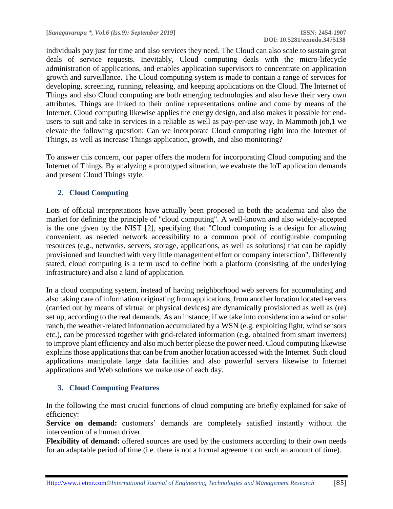individuals pay just for time and also services they need. The Cloud can also scale to sustain great deals of service requests. Inevitably, Cloud computing deals with the micro-lifecycle administration of applications, and enables application supervisors to concentrate on application growth and surveillance. The Cloud computing system is made to contain a range of services for developing, screening, running, releasing, and keeping applications on the Cloud. The Internet of Things and also Cloud computing are both emerging technologies and also have their very own attributes. Things are linked to their online representations online and come by means of the Internet. Cloud computing likewise applies the energy design, and also makes it possible for endusers to suit and take in services in a reliable as well as pay-per-use way. In Mammoth job,1 we elevate the following question: Can we incorporate Cloud computing right into the Internet of Things, as well as increase Things application, growth, and also monitoring?

To answer this concern, our paper offers the modern for incorporating Cloud computing and the Internet of Things. By analyzing a prototyped situation, we evaluate the IoT application demands and present Cloud Things style.

# **2. Cloud Computing**

Lots of official interpretations have actually been proposed in both the academia and also the market for defining the principle of "cloud computing". A well-known and also widely-accepted is the one given by the NIST [2], specifying that "Cloud computing is a design for allowing convenient, as needed network accessibility to a common pool of configurable computing resources (e.g., networks, servers, storage, applications, as well as solutions) that can be rapidly provisioned and launched with very little management effort or company interaction". Differently stated, cloud computing is a term used to define both a platform (consisting of the underlying infrastructure) and also a kind of application.

In a cloud computing system, instead of having neighborhood web servers for accumulating and also taking care of information originating from applications, from another location located servers (carried out by means of virtual or physical devices) are dynamically provisioned as well as (re) set up, according to the real demands. As an instance, if we take into consideration a wind or solar ranch, the weather-related information accumulated by a WSN (e.g. exploiting light, wind sensors etc.), can be processed together with grid-related information (e.g. obtained from smart inverters) to improve plant efficiency and also much better please the power need. Cloud computing likewise explains those applications that can be from another location accessed with the Internet. Such cloud applications manipulate large data facilities and also powerful servers likewise to Internet applications and Web solutions we make use of each day.

#### **3. Cloud Computing Features**

In the following the most crucial functions of cloud computing are briefly explained for sake of efficiency:

**Service on demand:** customers' demands are completely satisfied instantly without the intervention of a human driver.

**Flexibility of demand:** offered sources are used by the customers according to their own needs for an adaptable period of time (i.e. there is not a formal agreement on such an amount of time).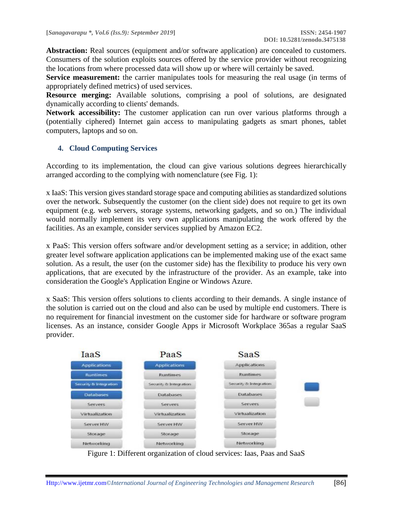**Abstraction:** Real sources (equipment and/or software application) are concealed to customers. Consumers of the solution exploits sources offered by the service provider without recognizing the locations from where processed data will show up or where will certainly be saved.

**Service measurement:** the carrier manipulates tools for measuring the real usage (in terms of appropriately defined metrics) of used services.

**Resource merging:** Available solutions, comprising a pool of solutions, are designated dynamically according to clients' demands.

**Network accessibility:** The customer application can run over various platforms through a (potentially ciphered) Internet gain access to manipulating gadgets as smart phones, tablet computers, laptops and so on.

#### **4. Cloud Computing Services**

According to its implementation, the cloud can give various solutions degrees hierarchically arranged according to the complying with nomenclature (see Fig. 1):

x IaaS: This version gives standard storage space and computing abilities as standardized solutions over the network. Subsequently the customer (on the client side) does not require to get its own equipment (e.g. web servers, storage systems, networking gadgets, and so on.) The individual would normally implement its very own applications manipulating the work offered by the facilities. As an example, consider services supplied by Amazon EC2.

x PaaS: This version offers software and/or development setting as a service; in addition, other greater level software application applications can be implemented making use of the exact same solution. As a result, the user (on the customer side) has the flexibility to produce his very own applications, that are executed by the infrastructure of the provider. As an example, take into consideration the Google's Application Engine or Windows Azure.

x SaaS: This version offers solutions to clients according to their demands. A single instance of the solution is carried out on the cloud and also can be used by multiple end customers. There is no requirement for financial investment on the customer side for hardware or software program licenses. As an instance, consider Google Apps ir Microsoft Workplace 365as a regular SaaS provider.



Figure 1: Different organization of cloud services: Iaas, Paas and SaaS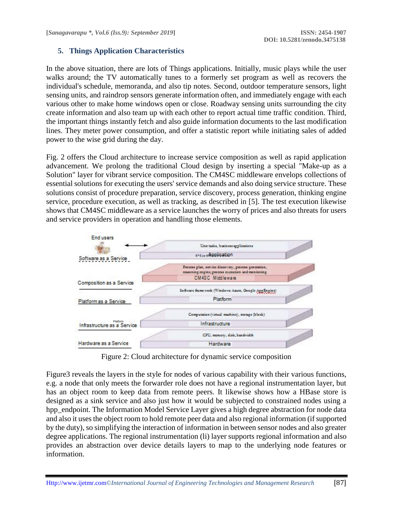# **5. Things Application Characteristics**

In the above situation, there are lots of Things applications. Initially, music plays while the user walks around; the TV automatically tunes to a formerly set program as well as recovers the individual's schedule, memoranda, and also tip notes. Second, outdoor temperature sensors, light sensing units, and raindrop sensors generate information often, and immediately engage with each various other to make home windows open or close. Roadway sensing units surrounding the city create information and also team up with each other to report actual time traffic condition. Third, the important things instantly fetch and also guide information documents to the last modification lines. They meter power consumption, and offer a statistic report while initiating sales of added power to the wise grid during the day.

Fig. 2 offers the Cloud architecture to increase service composition as well as rapid application advancement. We prolong the traditional Cloud design by inserting a special "Make-up as a Solution" layer for vibrant service composition. The CM4SC middleware envelops collections of essential solutions for executing the users' service demands and also doing service structure. These solutions consist of procedure preparation, service discovery, process generation, thinking engine service, procedure execution, as well as tracking, as described in [5]. The test execution likewise shows that CM4SC middleware as a service launches the worry of prices and also threats for users and service providers in operation and handling those elements.



Figure 2: Cloud architecture for dynamic service composition

Figure3 reveals the layers in the style for nodes of various capability with their various functions, e.g. a node that only meets the forwarder role does not have a regional instrumentation layer, but has an object room to keep data from remote peers. It likewise shows how a HBase store is designed as a sink service and also just how it would be subjected to constrained nodes using a hpp\_endpoint. The Information Model Service Layer gives a high degree abstraction for node data and also it uses the object room to hold remote peer data and also regional information (if supported by the duty), so simplifying the interaction of information in between sensor nodes and also greater degree applications. The regional instrumentation (li) layer supports regional information and also provides an abstraction over device details layers to map to the underlying node features or information.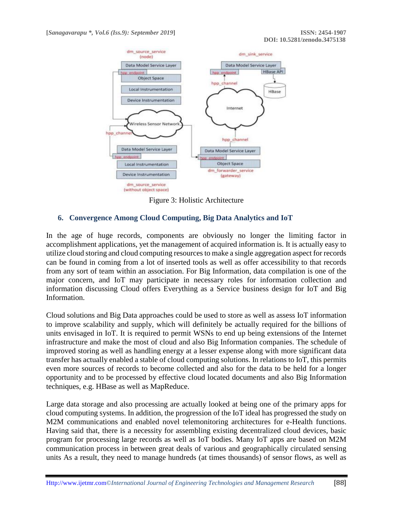

Figure 3: Holistic Architecture

#### **6. Convergence Among Cloud Computing, Big Data Analytics and IoT**

In the age of huge records, components are obviously no longer the limiting factor in accomplishment applications, yet the management of acquired information is. It is actually easy to utilize cloud storing and cloud computing resources to make a single aggregation aspect for records can be found in coming from a lot of inserted tools as well as offer accessibility to that records from any sort of team within an association. For Big Information, data compilation is one of the major concern, and IoT may participate in necessary roles for information collection and information discussing Cloud offers Everything as a Service business design for IoT and Big Information.

Cloud solutions and Big Data approaches could be used to store as well as assess IoT information to improve scalability and supply, which will definitely be actually required for the billions of units envisaged in IoT. It is required to permit WSNs to end up being extensions of the Internet infrastructure and make the most of cloud and also Big Information companies. The schedule of improved storing as well as handling energy at a lesser expense along with more significant data transfer has actually enabled a stable of cloud computing solutions. In relations to IoT, this permits even more sources of records to become collected and also for the data to be held for a longer opportunity and to be processed by effective cloud located documents and also Big Information techniques, e.g. HBase as well as MapReduce.

Large data storage and also processing are actually looked at being one of the primary apps for cloud computing systems. In addition, the progression of the IoT ideal has progressed the study on M2M communications and enabled novel telemonitoring architectures for e-Health functions. Having said that, there is a necessity for assembling existing decentralized cloud devices, basic program for processing large records as well as IoT bodies. Many IoT apps are based on M2M communication process in between great deals of various and geographically circulated sensing units As a result, they need to manage hundreds (at times thousands) of sensor flows, as well as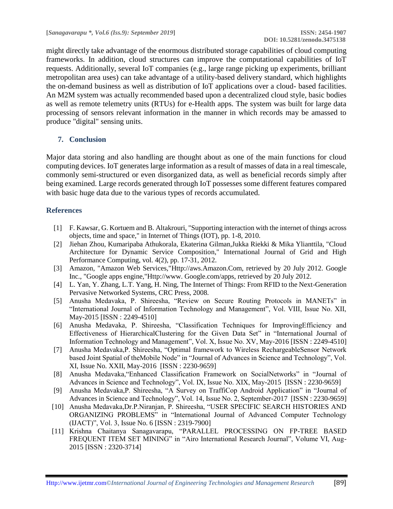might directly take advantage of the enormous distributed storage capabilities of cloud computing frameworks. In addition, cloud structures can improve the computational capabilities of IoT requests. Additionally, several IoT companies (e.g., large range picking up experiments, brilliant metropolitan area uses) can take advantage of a utility-based delivery standard, which highlights the on-demand business as well as distribution of IoT applications over a cloud- based facilities. An M2M system was actually recommended based upon a decentralized cloud style, basic bodies as well as remote telemetry units (RTUs) for e-Health apps. The system was built for large data processing of sensors relevant information in the manner in which records may be amassed to produce "digital" sensing units.

# **7. Conclusion**

Major data storing and also handling are thought about as one of the main functions for cloud computing devices. IoT generates large information as a result of masses of data in a real timescale, commonly semi-structured or even disorganized data, as well as beneficial records simply after being examined. Large records generated through IoT possesses some different features compared with basic huge data due to the various types of records accumulated.

# **References**

- [1] F. Kawsar, G. Kortuem and B. Altakrouri, "Supporting interaction with the internet of things across objects, time and space," in Internet of Things (IOT), pp. 1-8, 2010.
- [2] Jiehan Zhou, Kumaripaba Athukorala, Ekaterina Gilman,Jukka Riekki & Mika Ylianttila, "Cloud Architecture for Dynamic Service Composition," International Journal of Grid and High Performance Computing, vol. 4(2), pp. 17-31, 2012.
- [3] Amazon, "Amazon Web Services,["Http://aws.Amazon.Com, r](http://aws.amazon.com/)etrieved by 20 July 2012. Google Inc., "Google apps engine,["Http://www.](http://www/) Google.com/apps, retrieved by 20 July 2012.
- [4] L. Yan[, Y. Zhang, L.T. Yang, H. Ning, The Internet of Things: From RFID to the Next-Generation](http://refhub.elsevier.com/S0167-739X(15)00301-5/sbref10)  [Pervasive Networked Systems, CRC Press, 2008.](http://refhub.elsevier.com/S0167-739X(15)00301-5/sbref10)
- [5] Anusha Medavaka, P. Shireesha, "Review on Secure Routing Protocols in MANETs" in "International Journal of Information Technology and Management", Vol. VIII, Issue No. XII, May-2015 [ISSN : 2249-4510]
- [6] Anusha Medavaka, P. Shireesha, "Classification Techniques for ImprovingEfficiency and Effectiveness of HierarchicalClustering for the Given Data Set" in "International Journal of Information Technology and Management", Vol. X, Issue No. XV, May-2016 [ISSN : 2249-4510]
- [7] Anusha Medavaka,P. Shireesha, "Optimal framework to Wireless RechargeableSensor Network based Joint Spatial of theMobile Node" in "Journal of Advances in Science and Technology", Vol. XI, Issue No. XXII, May-2016 [ISSN : 2230-9659]
- [8] Anusha Medavaka,"Enhanced Classification Framework on SocialNetworks" in "Journal of Advances in Science and Technology", Vol. IX, Issue No. XIX, May-2015 [ISSN : 2230-9659]
- [9] Anusha Medavaka,P. Shireesha, "A Survey on TraffiCop Android Application" in "Journal of Advances in Science and Technology", Vol. 14, Issue No. 2, September-2017 [ISSN : 2230-9659]
- [10] Anusha Medavaka,Dr.P.Niranjan, P. Shireesha, "USER SPECIFIC SEARCH HISTORIES AND ORGANIZING PROBLEMS" in "International Journal of Advanced Computer Technology (IJACT)", Vol. 3, Issue No. 6 [ISSN : 2319-7900]
- [11] Krishna Chaitanya Sanagavarapu, "PARALLEL PROCESSING ON FP-TREE BASED FREQUENT ITEM SET MINING" in "Airo International Research Journal", Volume VI, Aug-2015 [ISSN : 2320-3714]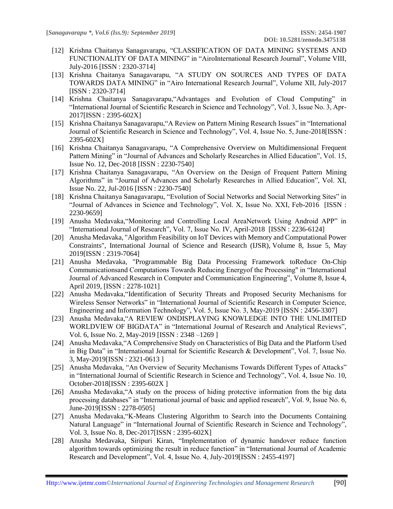- [12] Krishna Chaitanya Sanagavarapu, "CLASSIFICATION OF DATA MINING SYSTEMS AND FUNCTIONALITY OF DATA MINING" in "AiroInternational Research Journal", Volume VIII, July-2016 [ISSN : 2320-3714]
- [13] Krishna Chaitanya Sanagavarapu, "A STUDY ON SOURCES AND TYPES OF DATA TOWARDS DATA MINING" in "Airo International Research Journal", Volume XII, July-2017 [ISSN : 2320-3714]
- [14] Krishna Chaitanya Sanagavarapu,"Advantages and Evolution of Cloud Computing" in "International Journal of Scientific Research in Science and Technology", Vol. 3, Issue No. 3, Apr-2017[ISSN : 2395-602X]
- [15] Krishna Chaitanya Sanagavarapu,"A Review on Pattern Mining Research Issues" in "International Journal of Scientific Research in Science and Technology", Vol. 4, Issue No. 5, June-2018[ISSN : 2395-602X]
- [16] Krishna Chaitanya Sanagavarapu, "A Comprehensive Overview on Multidimensional Frequent Pattern Mining" in "Journal of Advances and Scholarly Researches in Allied Education", Vol. 15, Issue No. 12, Dec-2018 [ISSN : 2230-7540]
- [17] Krishna Chaitanya Sanagavarapu, "An Overview on the Design of Frequent Pattern Mining Algorithms" in "Journal of Advances and Scholarly Researches in Allied Education", Vol. XI, Issue No. 22, Jul-2016 [ISSN : 2230-7540]
- [18] Krishna Chaitanya Sanagavarapu, "Evolution of Social Networks and Social Networking Sites" in "Journal of Advances in Science and Technology", Vol. X, Issue No. XXI, Feb-2016 [ISSN : 2230-9659]
- [19] Anusha Medavaka,"Monitoring and Controlling Local AreaNetwork Using Android APP" in "International Journal of Research", Vol. 7, Issue No. IV, April-2018 [ISSN : 2236-6124]
- [20] Anusha Medavaka, "Algorithm Feasibility on IoT Devices with Memory and Computational Power Constraints", International Journal of Science and Research (IJSR), Volume 8, Issue 5, May 2019[ISSN : 2319-7064]
- [21] Anusha Medavaka, "Programmable Big Data Processing Framework toReduce On-Chip Communicationsand Computations Towards Reducing Energyof the Processing" in "International Journal of Advanced Research in Computer and Communication Engineering", Volume 8, Issue 4, April 2019, [ISSN : 2278-1021]
- [22] Anusha Medavaka,"Identification of Security Threats and Proposed Security Mechanisms for Wireless Sensor Networks" in "International Journal of Scientific Research in Computer Science, Engineering and Information Technology", Vol. 5, Issue No. 3, May-2019 [ISSN : 2456-3307]
- [23] Anusha Medavaka,"A REVIEW ONDISPLAYING KNOWLEDGE INTO THE UNLIMITED WORLDVIEW OF BIGDATA" in "International Journal of Research and Analytical Reviews", Vol. 6, Issue No. 2, May-2019 [ISSN : 2348 –1269 ]
- [24] Anusha Medavaka,"A Comprehensive Study on Characteristics of Big Data and the Platform Used in Big Data" in "International Journal for Scientific Research & Development", Vol. 7, Issue No. 3, May-2019[ISSN : 2321-0613 ]
- [25] Anusha Medavaka, "An Overview of Security Mechanisms Towards Different Types of Attacks" in "International Journal of Scientific Research in Science and Technology", Vol. 4, Issue No. 10, October-2018[ISSN : 2395-602X ]
- [26] Anusha Medavaka,"A study on the process of hiding protective information from the big data processing databases" in "International journal of basic and applied research", Vol. 9, Issue No. 6, June-2019[ISSN : 2278-0505]
- [27] Anusha Medavaka,"K-Means Clustering Algorithm to Search into the Documents Containing Natural Language" in "International Journal of Scientific Research in Science and Technology", Vol. 3, Issue No. 8, Dec-2017[ISSN : 2395-602X]
- [28] Anusha Medavaka, Siripuri Kiran, "Implementation of dynamic handover reduce function algorithm towards optimizing the result in reduce function" in "International Journal of Academic Research and Development", Vol. 4, Issue No. 4, July-2019[ISSN : 2455-4197]